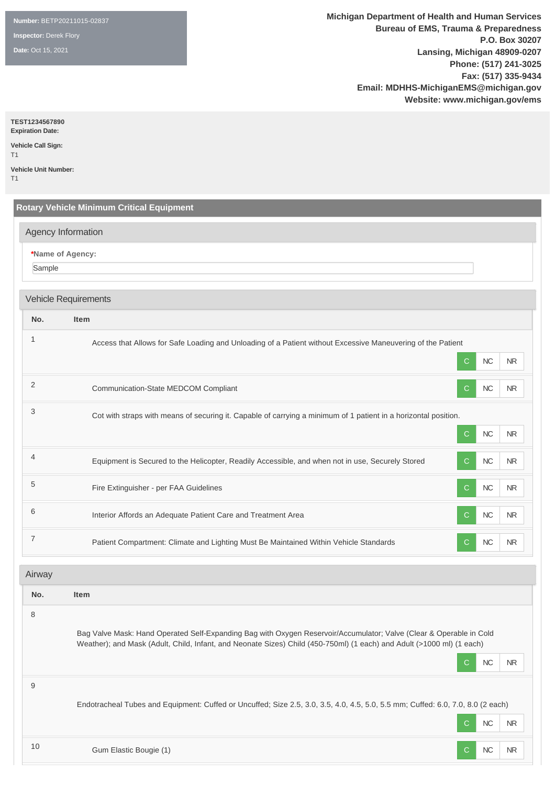**Number:** BETP20211015-02837

**Inspector:** Derek Flory

**Date:** Oct 15, 2021

**Michigan Department of Health and Human Services Bureau of EMS, Trauma & Preparedness P.O. Box 30207 Lansing, Michigan 48909-0207 Phone: (517) 241-3025 Fax: (517) 335-9434 Email: MDHHS-MichiganEMS@michigan.gov Website: www.michigan.gov/ems**

#### **TEST1234567890**

**Expiration Date: Vehicle Call Sign:**  T1

**Vehicle Unit Number:** 

T1

|                | <b>Rotary Vehicle Minimum Critical Equipment</b>                                                                                                                                                                                                                     |
|----------------|----------------------------------------------------------------------------------------------------------------------------------------------------------------------------------------------------------------------------------------------------------------------|
|                | Agency Information                                                                                                                                                                                                                                                   |
| Sample         | *Name of Agency:                                                                                                                                                                                                                                                     |
|                | <b>Vehicle Requirements</b>                                                                                                                                                                                                                                          |
| No.            | <b>Item</b>                                                                                                                                                                                                                                                          |
| 1              | Access that Allows for Safe Loading and Unloading of a Patient without Excessive Maneuvering of the Patient<br>NC<br>C<br><b>NR</b>                                                                                                                                  |
| 2              | NC<br><b>NR</b><br>Communication-State MEDCOM Compliant<br>$\mathsf{C}$                                                                                                                                                                                              |
| 3              | Cot with straps with means of securing it. Capable of carrying a minimum of 1 patient in a horizontal position.<br>$NC$<br>C.<br>NR.                                                                                                                                 |
| $\overline{4}$ | Equipment is Secured to the Helicopter, Readily Accessible, and when not in use, Securely Stored<br>NC<br>$\sf NR$<br><sub>C</sub>                                                                                                                                   |
| 5              | Fire Extinguisher - per FAA Guidelines<br>NC<br>NR<br>C                                                                                                                                                                                                              |
| 6              | Interior Affords an Adequate Patient Care and Treatment Area<br>NC<br>$\sf NR$<br>C                                                                                                                                                                                  |
| $\overline{7}$ | $NC$<br><b>NR</b><br>Patient Compartment: Climate and Lighting Must Be Maintained Within Vehicle Standards<br>C                                                                                                                                                      |
| Airway         |                                                                                                                                                                                                                                                                      |
| No.            | <b>Item</b>                                                                                                                                                                                                                                                          |
| 8              | Bag Valve Mask: Hand Operated Self-Expanding Bag with Oxygen Reservoir/Accumulator; Valve (Clear & Operable in Cold<br>Weather); and Mask (Adult, Child, Infant, and Neonate Sizes) Child (450-750ml) (1 each) and Adult (>1000 ml) (1 each)<br>NC<br><b>NR</b><br>C |
| $9\,$          |                                                                                                                                                                                                                                                                      |

Endotracheal Tubes and Equipment: Cuffed or Uncuffed; Size 2.5, 3.0, 3.5, 4.0, 4.5, 5.0, 5.5 mm; Cuffed: 6.0, 7.0, 8.0 (2 each) C NC NR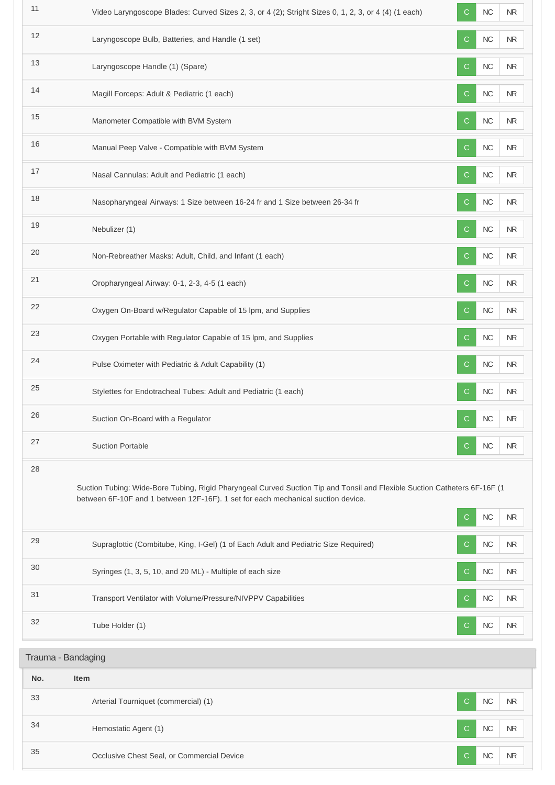| 11                 | Video Laryngoscope Blades: Curved Sizes 2, 3, or 4 (2); Stright Sizes 0, 1, 2, 3, or 4 (4) (1 each)                                                                                                           | С            | NC         | $\sf NR$       |
|--------------------|---------------------------------------------------------------------------------------------------------------------------------------------------------------------------------------------------------------|--------------|------------|----------------|
| 12                 | Laryngoscope Bulb, Batteries, and Handle (1 set)                                                                                                                                                              | C.           | $NC$       | <b>NR</b>      |
| 13                 | Laryngoscope Handle (1) (Spare)                                                                                                                                                                               | $\mathsf{C}$ | ${\sf NC}$ | NR             |
| 14                 | Magill Forceps: Adult & Pediatric (1 each)                                                                                                                                                                    | $\mathsf{C}$ | $NC$       | NR             |
| 15                 | Manometer Compatible with BVM System                                                                                                                                                                          | $\mathsf{C}$ | $NC$       | <b>NR</b>      |
| 16                 | Manual Peep Valve - Compatible with BVM System                                                                                                                                                                | $\mathsf{C}$ | $NC$       | $\sf NR$       |
| 17                 | Nasal Cannulas: Adult and Pediatric (1 each)                                                                                                                                                                  | $\mathsf{C}$ | $NC$       | NR             |
| 18                 | Nasopharyngeal Airways: 1 Size between 16-24 fr and 1 Size between 26-34 fr                                                                                                                                   | C            | $NC$       | NR             |
| 19                 | Nebulizer (1)                                                                                                                                                                                                 | C.           | NC         | NR             |
| 20                 | Non-Rebreather Masks: Adult, Child, and Infant (1 each)                                                                                                                                                       | $\mathsf{C}$ | $NC$       | <b>NR</b>      |
| 21                 | Oropharyngeal Airway: 0-1, 2-3, 4-5 (1 each)                                                                                                                                                                  | C.           | NC         | NR             |
| 22                 | Oxygen On-Board w/Regulator Capable of 15 lpm, and Supplies                                                                                                                                                   | $\mathsf{C}$ | $NC$       | <b>NR</b>      |
| 23                 | Oxygen Portable with Regulator Capable of 15 lpm, and Supplies                                                                                                                                                | $\mathsf{C}$ | $NC$       | NR             |
| 24                 | Pulse Oximeter with Pediatric & Adult Capability (1)                                                                                                                                                          | C.           | NC         | <b>NR</b>      |
| 25                 | Stylettes for Endotracheal Tubes: Adult and Pediatric (1 each)                                                                                                                                                | C.           | $NC$       | NR             |
| 26                 | Suction On-Board with a Regulator                                                                                                                                                                             | $\mathsf{C}$ | NC         | ${\sf NR}$     |
| 27                 | <b>Suction Portable</b>                                                                                                                                                                                       | С            | <b>NC</b>  | N <sub>R</sub> |
| 28                 | Suction Tubing: Wide-Bore Tubing, Rigid Pharyngeal Curved Suction Tip and Tonsil and Flexible Suction Catheters 6F-16F (1<br>between 6F-10F and 1 between 12F-16F). 1 set for each mechanical suction device. | C.           | NC         | N <sub>R</sub> |
| 29                 | Supraglottic (Combitube, King, I-Gel) (1 of Each Adult and Pediatric Size Required)                                                                                                                           | C.           | NC         | <b>NR</b>      |
| 30                 | Syringes (1, 3, 5, 10, and 20 ML) - Multiple of each size                                                                                                                                                     | C.           | <b>NC</b>  | NR.            |
| 31                 | Transport Ventilator with Volume/Pressure/NIVPPV Capabilities                                                                                                                                                 | C.           | NC         | N <sub>R</sub> |
| 32                 | Tube Holder (1)                                                                                                                                                                                               | C.           | <b>NC</b>  | NR.            |
| Trauma - Bandaging |                                                                                                                                                                                                               |              |            |                |
| No.                | <b>Item</b>                                                                                                                                                                                                   |              |            |                |
| 33                 | Arterial Tourniquet (commercial) (1)                                                                                                                                                                          | C.           | <b>NC</b>  | NR.            |
| 34                 | Hemostatic Agent (1)                                                                                                                                                                                          | C.           | NC         | NR.            |
| 35                 | Occlusive Chest Seal, or Commercial Device                                                                                                                                                                    | С            | NC         | <b>NR</b>      |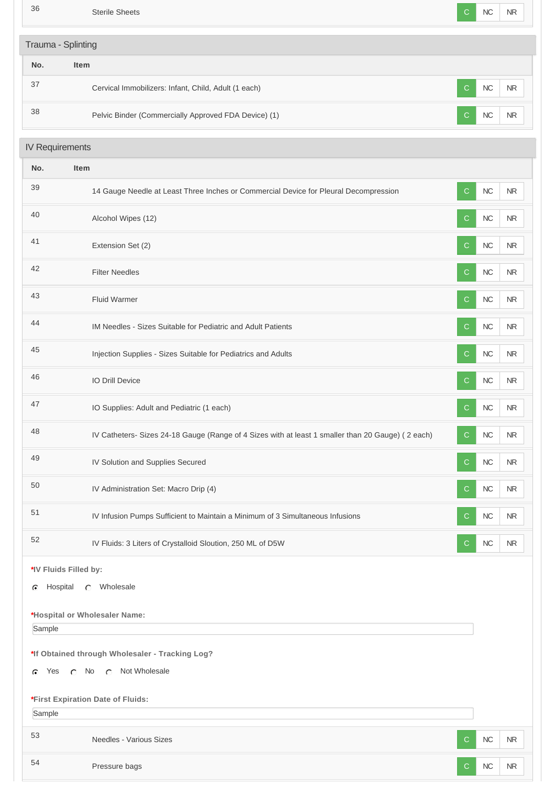36 Sterile Sheets C NC NR

| Trauma - Splinting     |                                                                                                   |              |      |            |
|------------------------|---------------------------------------------------------------------------------------------------|--------------|------|------------|
| No.                    | Item                                                                                              |              |      |            |
| 37                     | Cervical Immobilizers: Infant, Child, Adult (1 each)                                              | $\mathsf{C}$ | $NC$ | <b>NR</b>  |
| 38                     | Pelvic Binder (Commercially Approved FDA Device) (1)                                              | C            | $NC$ | <b>NR</b>  |
| <b>IV Requirements</b> |                                                                                                   |              |      |            |
| No.                    | Item                                                                                              |              |      |            |
| 39                     | 14 Gauge Needle at Least Three Inches or Commercial Device for Pleural Decompression              | C.           | $NC$ | <b>NR</b>  |
| 40                     | Alcohol Wipes (12)                                                                                | $\mathsf{C}$ | $NC$ | <b>NR</b>  |
| 41                     | Extension Set (2)                                                                                 | C            | $NC$ | <b>NR</b>  |
| 42                     | <b>Filter Needles</b>                                                                             | $\mathsf{C}$ | $NC$ | <b>NR</b>  |
| 43                     | <b>Fluid Warmer</b>                                                                               | $\mathsf{C}$ | $NC$ | NR         |
| 44                     | IM Needles - Sizes Suitable for Pediatric and Adult Patients                                      | C            | $NC$ | <b>NR</b>  |
| 45                     | Injection Supplies - Sizes Suitable for Pediatrics and Adults                                     | C            | $NC$ | <b>NR</b>  |
| 46                     | IO Drill Device                                                                                   | $\mathsf{C}$ | $NC$ | <b>NR</b>  |
| 47                     | IO Supplies: Adult and Pediatric (1 each)                                                         | C            | $NC$ | <b>NR</b>  |
| 48                     | IV Catheters- Sizes 24-18 Gauge (Range of 4 Sizes with at least 1 smaller than 20 Gauge) (2 each) | C            | NC   | <b>NR</b>  |
| 49                     | IV Solution and Supplies Secured                                                                  | C            | $NC$ | NR         |
| 50                     | IV Administration Set: Macro Drip (4)                                                             | C            | $NC$ | <b>NR</b>  |
| 51                     | IV Infusion Pumps Sufficient to Maintain a Minimum of 3 Simultaneous Infusions                    | C            | $NC$ | NR         |
| 52                     | IV Fluids: 3 Liters of Crystalloid Sloution, 250 ML of D5W                                        | C            | $NC$ | <b>NR</b>  |
|                        | *IV Fluids Filled by:                                                                             |              |      |            |
| C                      | Hospital C Wholesale                                                                              |              |      |            |
|                        | *Hospital or Wholesaler Name:                                                                     |              |      |            |
| Sample                 |                                                                                                   |              |      |            |
|                        | *If Obtained through Wholesaler - Tracking Log?                                                   |              |      |            |
| Yes<br>G.              | <b>C</b> Not Wholesale<br>$\circ$ No                                                              |              |      |            |
|                        | *First Expiration Date of Fluids:                                                                 |              |      |            |
| Sample                 |                                                                                                   |              |      |            |
| 53                     | Needles - Various Sizes                                                                           | C.           | $NC$ | <b>NR</b>  |
| 54                     | Pressure bags                                                                                     | $\mathbf{C}$ | NC   | ${\sf NR}$ |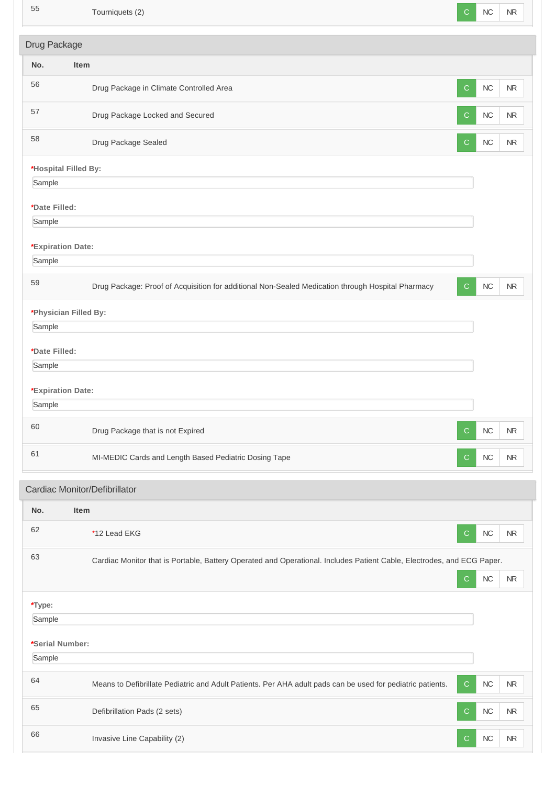| 55                          | Tourniquets (2)                                                                                                        | $\mathsf{C}$ | NC         | <b>NR</b>  |  |
|-----------------------------|------------------------------------------------------------------------------------------------------------------------|--------------|------------|------------|--|
| Drug Package                |                                                                                                                        |              |            |            |  |
| No.                         | Item                                                                                                                   |              |            |            |  |
| 56                          | Drug Package in Climate Controlled Area                                                                                | $\mathsf{C}$ | ${\sf NC}$ | <b>NR</b>  |  |
| 57                          | Drug Package Locked and Secured                                                                                        | C            | NC         | $\sf NR$   |  |
| 58                          | Drug Package Sealed                                                                                                    | $\mathsf{C}$ | ${\sf NC}$ | $\sf NR$   |  |
| *Hospital Filled By:        |                                                                                                                        |              |            |            |  |
| Sample                      |                                                                                                                        |              |            |            |  |
| *Date Filled:               |                                                                                                                        |              |            |            |  |
| Sample                      |                                                                                                                        |              |            |            |  |
| *Expiration Date:<br>Sample |                                                                                                                        |              |            |            |  |
|                             |                                                                                                                        |              |            |            |  |
| 59                          | Drug Package: Proof of Acquisition for additional Non-Sealed Medication through Hospital Pharmacy                      | $\mathsf{C}$ | NC         | <b>NR</b>  |  |
|                             | *Physician Filled By:                                                                                                  |              |            |            |  |
| Sample                      |                                                                                                                        |              |            |            |  |
| *Date Filled:               |                                                                                                                        |              |            |            |  |
| Sample                      |                                                                                                                        |              |            |            |  |
| *Expiration Date:           |                                                                                                                        |              |            |            |  |
| Sample                      |                                                                                                                        |              |            |            |  |
| 60                          | Drug Package that is not Expired                                                                                       | $\mathsf{C}$ | ${\sf NC}$ | $\sf NR$   |  |
| 61                          | MI-MEDIC Cards and Length Based Pediatric Dosing Tape                                                                  | $\mathbf C$  | $NC$       | <b>NR</b>  |  |
|                             | Cardiac Monitor/Defibrillator                                                                                          |              |            |            |  |
| No.                         | Item                                                                                                                   |              |            |            |  |
| 62                          | *12 Lead EKG                                                                                                           | $\mathbf C$  | ${\sf NC}$ | ${\sf NR}$ |  |
| 63                          | Cardiac Monitor that is Portable, Battery Operated and Operational. Includes Patient Cable, Electrodes, and ECG Paper. |              |            |            |  |
|                             |                                                                                                                        | $\mathbf C$  | ${\sf NC}$ | ${\sf NR}$ |  |
| *Type:                      |                                                                                                                        |              |            |            |  |
| Sample                      |                                                                                                                        |              |            |            |  |
| *Serial Number:             |                                                                                                                        |              |            |            |  |
| Sample                      |                                                                                                                        |              |            |            |  |
| 64                          | Means to Defibrillate Pediatric and Adult Patients. Per AHA adult pads can be used for pediatric patients.             | $\mathbf C$  | $NC$       | <b>NR</b>  |  |
| 65                          | Defibrillation Pads (2 sets)                                                                                           | $\mathbf C$  | $NC$       | <b>NR</b>  |  |
| 66                          | Invasive Line Capability (2)                                                                                           | $\mathbf C$  | ${\sf NC}$ | <b>NR</b>  |  |
|                             |                                                                                                                        |              |            |            |  |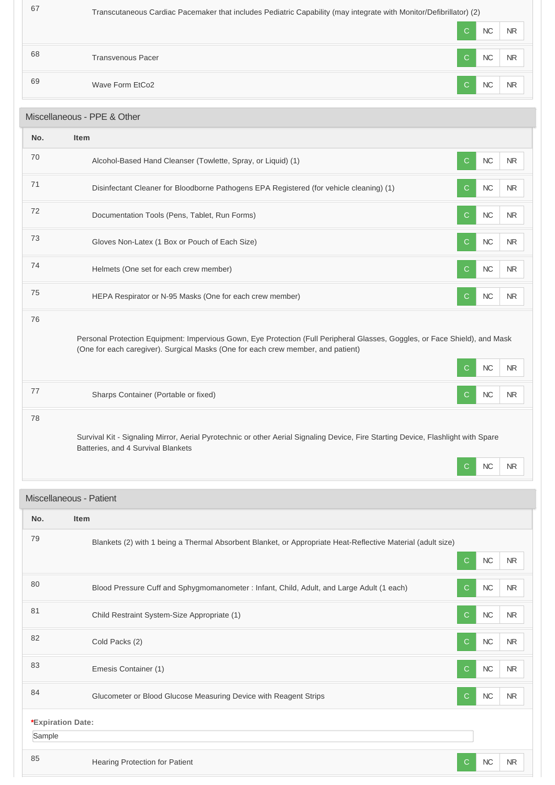|    |                          | $\mathcal{C}$ | NC        | <b>NR</b> |
|----|--------------------------|---------------|-----------|-----------|
| 68 | <b>Transvenous Pacer</b> | $\mathcal{C}$ | <b>NC</b> | <b>NR</b> |
| 69 | Wave Form EtCo2          | $\mathcal{C}$ | NC        | <b>NR</b> |

# Miscellaneous - PPE & Other

| No. | <b>Item</b>                                                                                                                                                                                                                                         |
|-----|-----------------------------------------------------------------------------------------------------------------------------------------------------------------------------------------------------------------------------------------------------|
| 70  | <b>NC</b><br>Alcohol-Based Hand Cleanser (Towlette, Spray, or Liquid) (1)<br><b>NR</b><br>С                                                                                                                                                         |
| 71  | Disinfectant Cleaner for Bloodborne Pathogens EPA Registered (for vehicle cleaning) (1)<br><b>NC</b><br><b>NR</b><br>С                                                                                                                              |
| 72  | <b>NC</b><br>Documentation Tools (Pens, Tablet, Run Forms)<br><b>NR</b><br>С                                                                                                                                                                        |
| 73  | <b>NC</b><br>Gloves Non-Latex (1 Box or Pouch of Each Size)<br><b>NR</b><br>С                                                                                                                                                                       |
| 74  | <b>NC</b><br>Helmets (One set for each crew member)<br><b>NR</b><br>С                                                                                                                                                                               |
| 75  | HEPA Respirator or N-95 Masks (One for each crew member)<br>NC<br><b>NR</b><br>С                                                                                                                                                                    |
| 76  | Personal Protection Equipment: Impervious Gown, Eye Protection (Full Peripheral Glasses, Goggles, or Face Shield), and Mask<br>(One for each caregiver). Surgical Masks (One for each crew member, and patient)<br><b>NC</b><br>N <sub>R</sub><br>С |
| 77  | NC<br>Sharps Container (Portable or fixed)<br><b>NR</b><br>С                                                                                                                                                                                        |
| 78  | Survival Kit - Signaling Mirror, Aerial Pyrotechnic or other Aerial Signaling Device, Fire Starting Device, Flashlight with Spare<br>Batteries, and 4 Survival Blankets<br><b>NC</b><br><b>NR</b><br>С                                              |

# Miscellaneous - Patient

| No.    | <b>Item</b>                                                                                                 |               |    |           |
|--------|-------------------------------------------------------------------------------------------------------------|---------------|----|-----------|
|        |                                                                                                             |               |    |           |
| 79     | Blankets (2) with 1 being a Thermal Absorbent Blanket, or Appropriate Heat-Reflective Material (adult size) |               |    |           |
|        |                                                                                                             | $\mathsf{C}$  | NC | <b>NR</b> |
| 80     | Blood Pressure Cuff and Sphygmomanometer : Infant, Child, Adult, and Large Adult (1 each)                   | C             | NC | <b>NR</b> |
| 81     | Child Restraint System-Size Appropriate (1)                                                                 | $\mathcal{C}$ | NC | <b>NR</b> |
| 82     | Cold Packs (2)                                                                                              | $\mathcal{C}$ | NC | <b>NR</b> |
| 83     | Emesis Container (1)                                                                                        | $\mathsf{C}$  | NC | <b>NR</b> |
| 84     | Glucometer or Blood Glucose Measuring Device with Reagent Strips                                            | $\mathsf{C}$  | NC | <b>NR</b> |
|        | *Expiration Date:                                                                                           |               |    |           |
| Sample |                                                                                                             |               |    |           |
| 85     | Hearing Protection for Patient                                                                              | C             | NC | <b>NR</b> |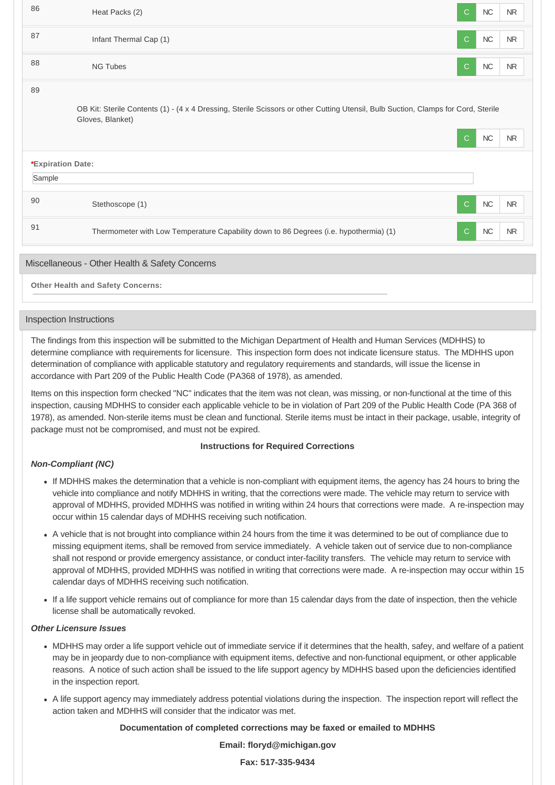| 86                | Heat Packs (2)                                                                                                                                        | $\mathsf{C}$ | NC         | <b>NR</b> |
|-------------------|-------------------------------------------------------------------------------------------------------------------------------------------------------|--------------|------------|-----------|
| 87                | Infant Thermal Cap (1)                                                                                                                                | $\mathsf{C}$ | $NC$       | <b>NR</b> |
| 88                | <b>NG Tubes</b>                                                                                                                                       | $\mathsf{C}$ | $NC$       | <b>NR</b> |
| 89                |                                                                                                                                                       |              |            |           |
|                   | OB Kit: Sterile Contents (1) - (4 x 4 Dressing, Sterile Scissors or other Cutting Utensil, Bulb Suction, Clamps for Cord, Sterile<br>Gloves, Blanket) |              |            |           |
|                   |                                                                                                                                                       | $\mathsf{C}$ | ${\sf NC}$ | <b>NR</b> |
| *Expiration Date: |                                                                                                                                                       |              |            |           |
| Sample            |                                                                                                                                                       |              |            |           |
| 90                | Stethoscope (1)                                                                                                                                       | $\mathsf{C}$ | ${\sf NC}$ | <b>NR</b> |
| 91                | Thermometer with Low Temperature Capability down to 86 Degrees (i.e. hypothermia) (1)                                                                 | $\mathsf{C}$ | $NC$       | <b>NR</b> |
|                   | Miscellaneous - Other Health & Safety Concerns                                                                                                        |              |            |           |

**Other Health and Safety Concerns:**

## Inspection Instructions

The findings from this inspection will be submitted to the Michigan Department of Health and Human Services (MDHHS) to determine compliance with requirements for licensure. This inspection form does not indicate licensure status. The MDHHS upon determination of compliance with applicable statutory and regulatory requirements and standards, will issue the license in accordance with Part 209 of the Public Health Code (PA368 of 1978), as amended.

Items on this inspection form checked "NC" indicates that the item was not clean, was missing, or non-functional at the time of this inspection, causing MDHHS to consider each applicable vehicle to be in violation of Part 209 of the Public Health Code (PA 368 of 1978), as amended. Non-sterile items must be clean and functional. Sterile items must be intact in their package, usable, integrity of package must not be compromised, and must not be expired.

## **Instructions for Required Corrections**

## *Non-Compliant (NC)*

- If MDHHS makes the determination that a vehicle is non-compliant with equipment items, the agency has 24 hours to bring the vehicle into compliance and notify MDHHS in writing, that the corrections were made. The vehicle may return to service with approval of MDHHS, provided MDHHS was notified in writing within 24 hours that corrections were made. A re-inspection may occur within 15 calendar days of MDHHS receiving such notification.
- A vehicle that is not brought into compliance within 24 hours from the time it was determined to be out of compliance due to missing equipment items, shall be removed from service immediately. A vehicle taken out of service due to non-compliance shall not respond or provide emergency assistance, or conduct inter-facility transfers. The vehicle may return to service with approval of MDHHS, provided MDHHS was notified in writing that corrections were made. A re-inspection may occur within 15 calendar days of MDHHS receiving such notification.
- If a life support vehicle remains out of compliance for more than 15 calendar days from the date of inspection, then the vehicle license shall be automatically revoked.

## *Other Licensure Issues*

- MDHHS may order a life support vehicle out of immediate service if it determines that the health, safey, and welfare of a patient may be in jeopardy due to non-compliance with equipment items, defective and non-functional equipment, or other applicable reasons. A notice of such action shall be issued to the life support agency by MDHHS based upon the deficiencies identified in the inspection report.
- A life support agency may immediately address potential violations during the inspection. The inspection report will reflect the action taken and MDHHS will consider that the indicator was met.

## **Documentation of completed corrections may be faxed or emailed to MDHHS**

## **Email: floryd@michigan.gov**

**Fax: 517-335-9434**